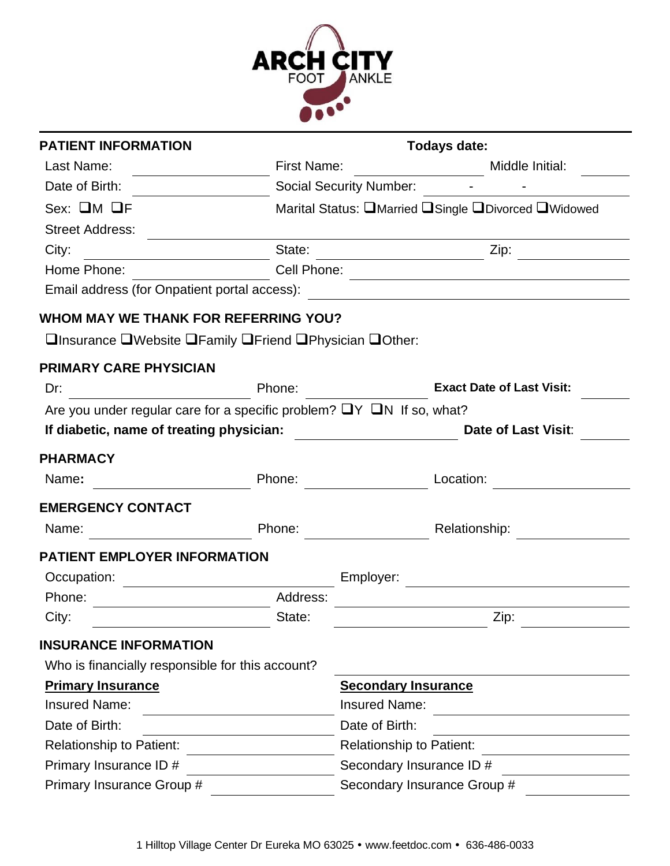

| <b>PATIENT INFORMATION</b>                                                      |                    |                                 | Todays date:                                        |  |
|---------------------------------------------------------------------------------|--------------------|---------------------------------|-----------------------------------------------------|--|
| Last Name:                                                                      | <b>First Name:</b> |                                 | Middle Initial:                                     |  |
| Date of Birth:                                                                  |                    | <b>Social Security Number:</b>  |                                                     |  |
| $Sex: \Box M \Box F$                                                            |                    |                                 | Marital Status: QMarried QSingle QDivorced QWidowed |  |
| <b>Street Address:</b>                                                          |                    |                                 |                                                     |  |
| City:                                                                           | State:             |                                 | Zip:                                                |  |
| Home Phone:                                                                     | Cell Phone:        |                                 |                                                     |  |
| Email address (for Onpatient portal access):                                    |                    |                                 | <u> 1980 - Johann Barbara, martxa alemaniar arg</u> |  |
| <b>WHOM MAY WE THANK FOR REFERRING YOU?</b>                                     |                    |                                 |                                                     |  |
| □Insurance □Website □Family □Friend □Physician □Other:                          |                    |                                 |                                                     |  |
| <b>PRIMARY CARE PHYSICIAN</b>                                                   |                    |                                 |                                                     |  |
| Dr:                                                                             | Phone:             |                                 | <b>Exact Date of Last Visit:</b>                    |  |
| Are you under regular care for a specific problem? $\Box Y \Box N$ If so, what? |                    |                                 |                                                     |  |
| If diabetic, name of treating physician:                                        |                    |                                 | Date of Last Visit:                                 |  |
| <b>PHARMACY</b>                                                                 |                    |                                 |                                                     |  |
| Name:                                                                           | Phone:             |                                 | Location:                                           |  |
| <b>EMERGENCY CONTACT</b>                                                        |                    |                                 |                                                     |  |
| Name:                                                                           | Phone:             |                                 | Relationship:                                       |  |
| <b>PATIENT EMPLOYER INFORMATION</b>                                             |                    |                                 |                                                     |  |
| Occupation:                                                                     |                    | Employer:                       |                                                     |  |
| Phone:                                                                          | Address:           |                                 |                                                     |  |
| City:                                                                           | State:             |                                 | Zip:                                                |  |
| <b>INSURANCE INFORMATION</b>                                                    |                    |                                 |                                                     |  |
| Who is financially responsible for this account?                                |                    |                                 |                                                     |  |
| <b>Primary Insurance</b>                                                        |                    | <b>Secondary Insurance</b>      |                                                     |  |
| <b>Insured Name:</b>                                                            |                    | <b>Insured Name:</b>            |                                                     |  |
| Date of Birth:                                                                  |                    | Date of Birth:                  |                                                     |  |
| <b>Relationship to Patient:</b>                                                 |                    | <b>Relationship to Patient:</b> |                                                     |  |
| Primary Insurance ID #                                                          |                    | Secondary Insurance ID #        |                                                     |  |
| Primary Insurance Group #                                                       |                    |                                 | Secondary Insurance Group #                         |  |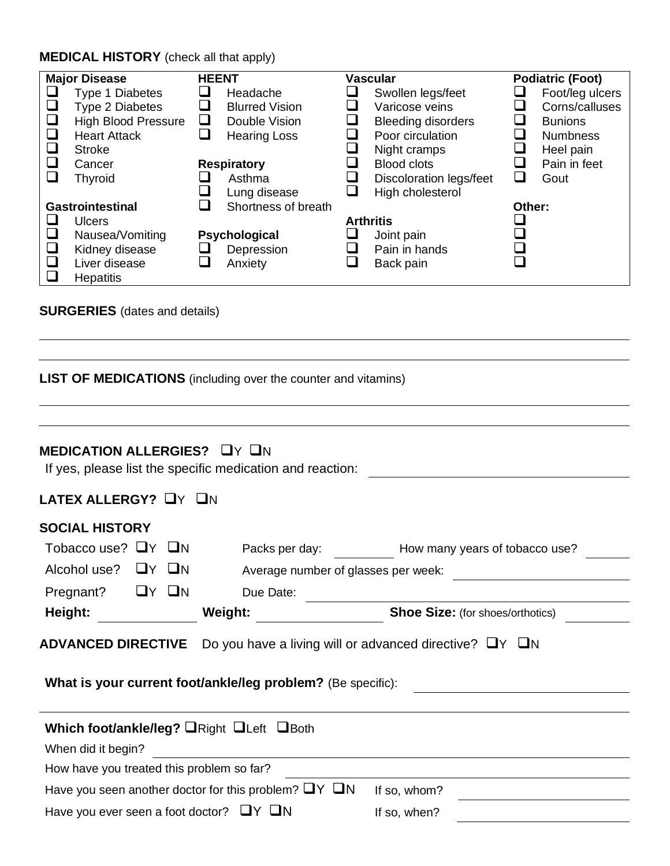## **MEDICAL HISTORY** (check all that apply)

| <b>Major Disease</b>                                                                                            | <b>HEENT</b> |                                                                           |                  | <b>Vascular</b>                                                                                      |             | <b>Podiatric (Foot)</b>                                                             |
|-----------------------------------------------------------------------------------------------------------------|--------------|---------------------------------------------------------------------------|------------------|------------------------------------------------------------------------------------------------------|-------------|-------------------------------------------------------------------------------------|
| Type 1 Diabetes<br><b>Type 2 Diabetes</b><br><b>High Blood Pressure</b><br><b>Heart Attack</b><br><b>Stroke</b> | ⊔<br>ப       | Headache<br><b>Blurred Vision</b><br>Double Vision<br><b>Hearing Loss</b> |                  | Swollen legs/feet<br>Varicose veins<br><b>Bleeding disorders</b><br>Poor circulation<br>Night cramps | ⊔<br>⊔<br>⊔ | Foot/leg ulcers<br>Corns/calluses<br><b>Bunions</b><br><b>Numbness</b><br>Heel pain |
| Cancer<br><b>Thyroid</b>                                                                                        |              | <b>Respiratory</b><br>Asthma<br>Lung disease                              |                  | <b>Blood clots</b><br>Discoloration legs/feet<br>High cholesterol                                    | $\sqcup$    | Pain in feet<br>Gout                                                                |
| <b>Gastrointestinal</b><br><b>Ulcers</b>                                                                        |              | Shortness of breath                                                       | <b>Arthritis</b> |                                                                                                      | Other:      |                                                                                     |
| Nausea/Vomiting<br>Kidney disease<br>Liver disease<br><b>Hepatitis</b>                                          | ⊔            | Psychological<br>Depression<br>Anxiety                                    |                  | Joint pain<br>Pain in hands<br>Back pain                                                             |             |                                                                                     |

## **SURGERIES** (dates and details)

| <b>LIST OF MEDICATIONS</b> (including over the counter and vitamins)                                                          |                                                                |                                                                                                                                 |  |  |  |  |
|-------------------------------------------------------------------------------------------------------------------------------|----------------------------------------------------------------|---------------------------------------------------------------------------------------------------------------------------------|--|--|--|--|
| MEDICATION ALLERGIES? UY UN                                                                                                   | If yes, please list the specific medication and reaction:      |                                                                                                                                 |  |  |  |  |
| LATEX ALLERGY? UY UN                                                                                                          |                                                                |                                                                                                                                 |  |  |  |  |
| <b>SOCIAL HISTORY</b><br>Tobacco use? $\Box Y$ $\Box N$<br>Alcohol use?<br>UY UN<br>$\Box Y$ $\Box N$<br>Pregnant?<br>Height: | Due Date:<br><b>Weight:</b>                                    | Packs per day: How many years of tobacco use?<br>Average number of glasses per week:<br><b>Shoe Size:</b> (for shoes/orthotics) |  |  |  |  |
| <b>ADVANCED DIRECTIVE</b>                                                                                                     |                                                                | Do you have a living will or advanced directive? $\Box Y$ $\Box N$                                                              |  |  |  |  |
|                                                                                                                               | What is your current foot/ankle/leg problem? (Be specific):    |                                                                                                                                 |  |  |  |  |
|                                                                                                                               | Which foot/ankle/leg? ORight OLeft OBoth                       |                                                                                                                                 |  |  |  |  |
|                                                                                                                               |                                                                |                                                                                                                                 |  |  |  |  |
| When did it begin?                                                                                                            |                                                                |                                                                                                                                 |  |  |  |  |
| How have you treated this problem so far?                                                                                     |                                                                |                                                                                                                                 |  |  |  |  |
|                                                                                                                               | Have you seen another doctor for this problem? $\Box Y \Box N$ | If so, whom?                                                                                                                    |  |  |  |  |